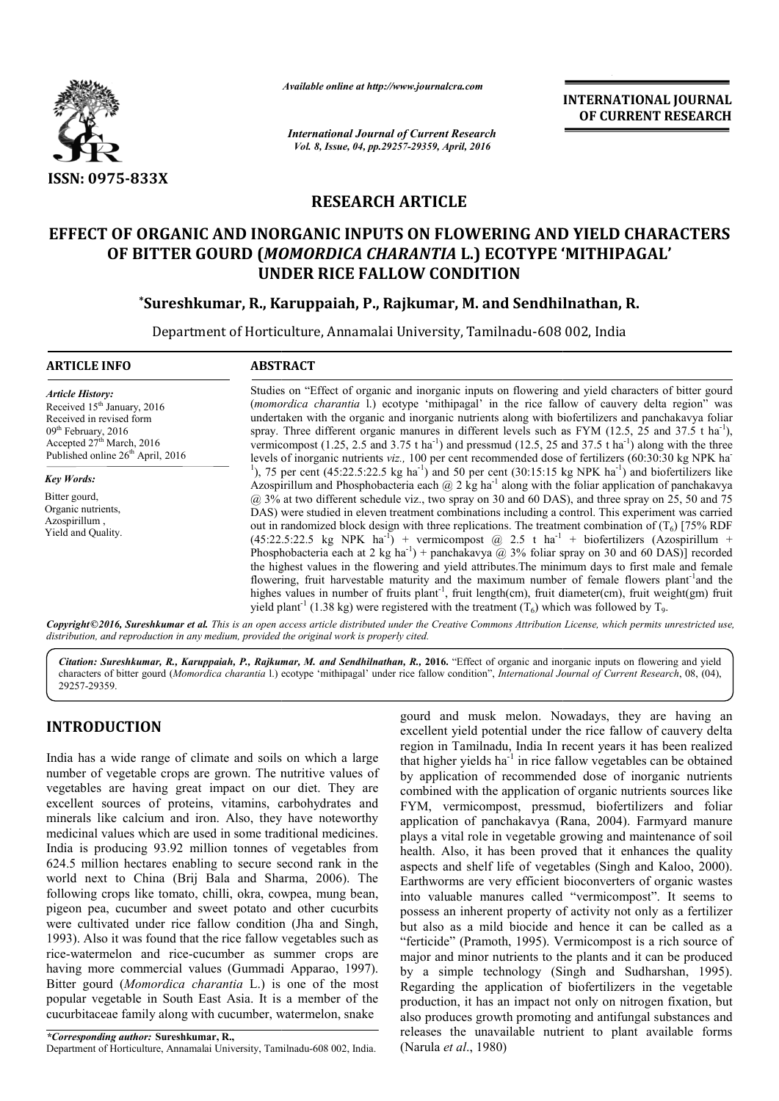

*Available online at http://www.journalcra.com*

*International Journal of Current Research Vol. 8, Issue, 04, pp.29257-29359, April, 2016*

**INTERNATIONAL JOURNAL OF CURRENT RESEARCH**

# **RESEARCH ARTICLE**

# **EFFECT OF ORGANIC AND INORGANIC INPUTS ON FLOWERING AND YIELD CHARACTERS**  OF ORGANIC AND INORGANIC INPUTS ON FLOWERING AND YIELD CHARA<br>OF BITTER GOURD (*MOMORDICA CHARANTIA* L.) ECOTYPE 'MITHIPAGAL' **UNDER RICE FALLOW CONDITION**

### **\*Sureshkumar, R., Karuppaiah, P., Rajkumar, M. and Sendhilnathan, R. Sureshkumar,**

Department of Horticulture, Annamalai University, Tamilnadu-608 002, India

| <b>ARTICLE INFO</b>                                                                                                                                                                                               | <b>ABSTRACT</b>                                                                                                                                                                                                                                                                                                                                                                                                                                                                                                                                                                                                                                                                                                                                                                                                                                                                                                                                                                                                                                                  |  |  |  |
|-------------------------------------------------------------------------------------------------------------------------------------------------------------------------------------------------------------------|------------------------------------------------------------------------------------------------------------------------------------------------------------------------------------------------------------------------------------------------------------------------------------------------------------------------------------------------------------------------------------------------------------------------------------------------------------------------------------------------------------------------------------------------------------------------------------------------------------------------------------------------------------------------------------------------------------------------------------------------------------------------------------------------------------------------------------------------------------------------------------------------------------------------------------------------------------------------------------------------------------------------------------------------------------------|--|--|--|
| <b>Article History:</b><br>Received 15 <sup>th</sup> January, 2016<br>Received in revised form<br>$09th$ February, 2016<br>Accepted 27 <sup>th</sup> March, 2016<br>Published online 26 <sup>th</sup> April, 2016 | Studies on "Effect of organic and inorganic inputs on flowering and yield characters of bitter gourd<br>(momordica charantia l.) ecotype 'mithipagal' in the rice fallow of cauvery delta region" was<br>undertaken with the organic and inorganic nutrients along with biofertilizers and panchakavya foliar<br>spray. Three different organic manures in different levels such as FYM (12.5, 25 and 37.5 t ha <sup>-1</sup> ),<br>vermicompost (1.25, 2.5 and 3.75 t ha <sup>-1</sup> ) and pressmud (12.5, 25 and 37.5 t ha <sup>-1</sup> ) along with the three<br>levels of inorganic nutrients $viz.$ , 100 per cent recommended dose of fertilizers (60:30:30 kg NPK ha<br><sup>1</sup> ), 75 per cent (45:22.5:22.5 kg ha <sup>-1</sup> ) and 50 per cent (30:15:15 kg NPK ha <sup>-1</sup> ) and biofertilizers like<br>Azospirillum and Phosphobacteria each $\omega$ 2 kg ha <sup>-1</sup> along with the foliar application of panchakavya<br>$(a)$ 3% at two different schedule viz., two spray on 30 and 60 DAS), and three spray on 25, 50 and 75 |  |  |  |
| <b>Key Words:</b><br>Bitter gourd,                                                                                                                                                                                |                                                                                                                                                                                                                                                                                                                                                                                                                                                                                                                                                                                                                                                                                                                                                                                                                                                                                                                                                                                                                                                                  |  |  |  |
| Organic nutrients,<br>Azospirillum,<br>Yield and Quality.                                                                                                                                                         | DAS) were studied in eleven treatment combinations including a control. This experiment was carried<br>out in randomized block design with three replications. The treatment combination of $(T_6)$ [75% RDF<br>$(45:22.5:22.5$ kg NPK ha <sup>-1</sup> ) + vermicompost (a) 2.5 t ha <sup>-1</sup> + biofertilizers (Azospirillum +<br>Phosphobacteria each at 2 kg ha <sup>-1</sup> ) + panchakavya @ 3% foliar spray on 30 and 60 DAS)] recorded<br>the highest values in the flowering and yield attributes. The minimum days to first male and female<br>flowering, fruit harvestable maturity and the maximum number of female flowers plant <sup>-1</sup> and the<br>highes values in number of fruits plant <sup>-1</sup> , fruit length(cm), fruit diameter(cm), fruit weight(gm) fruit<br>yield plant <sup>-1</sup> (1.38 kg) were registered with the treatment $(T_6)$ which was followed by $T_9$ .                                                                                                                                                 |  |  |  |

Copyright©2016, Sureshkumar et al. This is an open access article distributed under the Creative Commons Attribution License, which permits unrestricted use, *distribution, and reproduction in any medium, provided the original work is properly cited.*

Citation: Sureshkumar, R., Karuppaiah, P., Rajkumar, M. and Sendhilnathan, R., 2016. "Effect of organic and inorganic inputs on flowering and yield characters of bitter gourd (Momordica charantia l.) ecotype 'mithipagal' under rice fallow condition", *International Journal of Current Research*, 08, (04), 29257-29359.

### **INTRODUCTION**

India has a wide range of climate and soils on which a large number of vegetable crops are grown. The nutritive values of vegetables are having great impact on our diet. They are excellent sources of proteins, vitamins, carbohydrates and minerals like calcium and iron. Also, they have noteworthy medicinal values which are used in some traditional medicines. India is producing 93.92 million tonnes of vegetables from 624.5 million hectares enabling to secure second rank in the minerals like calcium and iron. Also, they have noteworthy<br>medicinal values which are used in some traditional medicines.<br>India is producing 93.92 million tonnes of vegetables from<br>624.5 million hectares enabling to secure following crops like tomato, chilli, okra, cowpea, mung bean, pigeon pea, cucumber and sweet potato and other cucurbits were cultivated under rice fallow condition (Jha and Singh, 1993). Also it was found that the rice fallow vegetables such as rice-watermelon and rice-cucumber as summer crops are having more commercial values (Gummadi Apparao, 1997). Bitter gourd (*Momordica charantia* L.) is one of the most popular vegetable in South East Asia. It is a member of the cucurbitaceae family along with cucumber, watermelon, snake cucumber as summer crops are<br>values (Gummadi Apparao, 1997)<br>*charantia* L.) is one of the mos<br>East Asia. It is a member of the<br>with cucumber, watermelon, snake<br>umar, R.,<br>malai University, Tamilnadu-608 002, India.

*\*Corresponding author:* **Sureshkumar, R.,** Department of Horticulture, Annamalai University, Tamilnadu

gourd and musk melon. Nowadays, they are having an excellent yield potential under the rice fallow of cauvery delta region in Tamilnadu, India In recent years it has been realized that higher yields ha<sup>-1</sup> in rice fallow vegetables can be obtained by application of recommended dose of inorganic nutrients combined with the application of organic nutrients sou FYM, vermicompost, pressmud, biofertilizers and foliar application of panchakavya (Rana, 2004). Farmyard manure plays a vital role in vegetable growing and maintenance of soil health. Also, it has been proved that it enhances the quality aspects and shelf life of vegetables (Singh and Kaloo, 2000). Earthworms are very efficient bioconverters of organic wastes into valuable manures called "vermicompost". It seems to possess an inherent property of activity not only as a fertilizer but also as a mild biocide and hence it can be called as a "ferticide" (Pramoth, 1995). Vermicompost is a rich source of major and minor nutrients to the plants and it can be produced by a simple technology (Singh and Sudharshan, 1995). Regarding the application of biofertilizers in the vegetable production, it has an impact not only on nitrogen fixation, but also produces growth promoting and antifungal substances and releases the unavailable nutrient to plant available forms (Narula *et al*., 1980) recent years it has been realized<br>allow vegetables can be obtained<br>led dose of inorganic nutrients<br>of organic nutrients sources like FYM, vermicompost, pressmud, biofertilizers and foliar application of panchakavya (Rana, 2004). Farmyard manure plays a vital role in vegetable growing and maintenance of soil health. Also, it has been proved that it enhan **INTERNATIONAL JOURNAL**<br> **OF CURRENT RESEARCH**<br> **OF CURRENT RESEARCH**<br> **OF CURRENT RESEARCH**<br> **OF CURRENT RESEARCH**<br> **OF CURRENT RESEARCH**<br> **PHONOTION**<br> **And Sendhillnathan, R.**<br> **CONTYPE 'MITHIPAGAL'**<br> **PHONOTION**<br> **PHONO**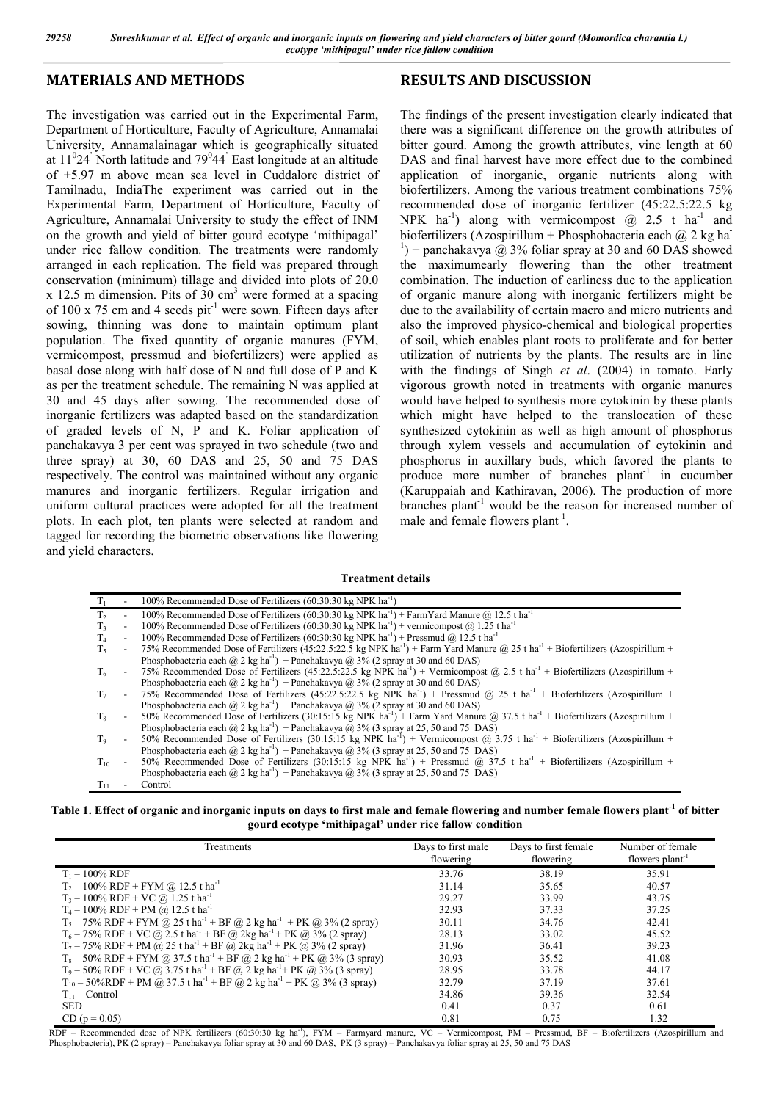### **MATERIALS AND METHODS**

The investigation was carried out in the Experimental Farm, Department of Horticulture, Faculty of Agriculture, Annamalai University, Annamalainagar which is geographically situated at  $11<sup>0</sup>24$ <sup>'</sup> North latitude and 79<sup>0</sup>44<sup>'</sup> East longitude at an altitude of ±5.97 m above mean sea level in Cuddalore district of Tamilnadu, IndiaThe experiment was carried out in the Experimental Farm, Department of Horticulture, Faculty of Agriculture, Annamalai University to study the effect of INM on the growth and yield of bitter gourd ecotype 'mithipagal' under rice fallow condition. The treatments were randomly arranged in each replication. The field was prepared through conservation (minimum) tillage and divided into plots of 20.0  $x$  12.5 m dimension. Pits of 30 cm<sup>3</sup> were formed at a spacing of 100 x 75 cm and 4 seeds pit<sup>-1</sup> were sown. Fifteen days after sowing, thinning was done to maintain optimum plant population. The fixed quantity of organic manures (FYM, vermicompost, pressmud and biofertilizers) were applied as basal dose along with half dose of N and full dose of P and K as per the treatment schedule. The remaining N was applied at 30 and 45 days after sowing. The recommended dose of inorganic fertilizers was adapted based on the standardization of graded levels of N, P and K. Foliar application of panchakavya 3 per cent was sprayed in two schedule (two and three spray) at 30, 60 DAS and 25, 50 and 75 DAS respectively. The control was maintained without any organic manures and inorganic fertilizers. Regular irrigation and uniform cultural practices were adopted for all the treatment plots. In each plot, ten plants were selected at random and tagged for recording the biometric observations like flowering and yield characters.

### **RESULTS AND DISCUSSION**

The findings of the present investigation clearly indicated that there was a significant difference on the growth attributes of bitter gourd. Among the growth attributes, vine length at 60 DAS and final harvest have more effect due to the combined application of inorganic, organic nutrients along with biofertilizers. Among the various treatment combinations 75% recommended dose of inorganic fertilizer (45:22.5:22.5 kg NPK  $ha^{-1}$ ) along with vermicompost  $@$  2.5 t  $ha^{-1}$  and biofertilizers (Azospirillum + Phosphobacteria each  $\omega$  2 kg ha<sup>-</sup> <sup>1</sup>) + panchakavya @ 3% foliar spray at 30 and 60 DAS showed the maximumearly flowering than the other treatment combination. The induction of earliness due to the application of organic manure along with inorganic fertilizers might be due to the availability of certain macro and micro nutrients and also the improved physico-chemical and biological properties of soil, which enables plant roots to proliferate and for better utilization of nutrients by the plants. The results are in line with the findings of Singh *et al*. (2004) in tomato. Early vigorous growth noted in treatments with organic manures would have helped to synthesis more cytokinin by these plants which might have helped to the translocation of these synthesized cytokinin as well as high amount of phosphorus through xylem vessels and accumulation of cytokinin and phosphorus in auxillary buds, which favored the plants to produce more number of branches  $plant<sup>-1</sup>$  in cucumber (Karuppaiah and Kathiravan, 2006). The production of more branches plant<sup>-1</sup> would be the reason for increased number of male and female flowers plant<sup>-1</sup>.

#### **Treatment details**

|                |                             | 100% Recommended Dose of Fertilizers (60:30:30 kg NPK ha <sup>-1</sup> )                                                                                |
|----------------|-----------------------------|---------------------------------------------------------------------------------------------------------------------------------------------------------|
| T <sub>2</sub> |                             | 100% Recommended Dose of Fertilizers (60:30:30 kg NPK ha <sup>-1</sup> ) + FarmYard Manure @ 12.5 t ha <sup>-1</sup>                                    |
| T3             | $\overline{\phantom{a}}$    | 100% Recommended Dose of Fertilizers (60:30:30 kg NPK ha <sup>-1</sup> ) + vermicompost @ 1.25 t ha <sup>-1</sup>                                       |
| T <sub>4</sub> | $\blacksquare$              | 100% Recommended Dose of Fertilizers (60:30:30 kg NPK ha <sup>-1</sup> ) + Pressmud @ 12.5 t ha <sup>-1</sup>                                           |
| $T_{5}$        | $\mathcal{L}_{\mathcal{A}}$ | 75% Recommended Dose of Fertilizers (45:22.5:22.5 kg NPK ha <sup>-1</sup> ) + Farm Yard Manure @ 25 t ha <sup>-1</sup> + Biofertilizers (Azospirillum + |
|                |                             | Phosphobacteria each $(\overline{a})$ 2 kg ha <sup>-1</sup> ) + Panchakavya $(\overline{a})$ 3% (2 spray at 30 and 60 DAS)                              |
| T <sub>6</sub> |                             | - 75% Recommended Dose of Fertilizers (45:22.5:22.5 kg NPK ha <sup>-1</sup> ) + Vermicompost @ 2.5 t ha <sup>-1</sup> + Biofertilizers (Azospirillum +  |
|                |                             | Phosphobacteria each $(\bar{a}$ 2 kg ha <sup>-1</sup> ) + Panchakavya $(\bar{a}$ 3% (2 spray at 30 and 60 DAS)                                          |
| T <sub>7</sub> |                             | - 75% Recommended Dose of Fertilizers (45:22.5:22.5 kg NPK ha <sup>-1</sup> ) + Pressmud @ 25 t ha <sup>-1</sup> + Biofertilizers (Azospirillum +       |
|                |                             | Phosphobacteria each $(\overline{a})$ 2 kg ha <sup>-1</sup> ) + Panchakavya $(\overline{a})$ 3% (2 spray at 30 and 60 DAS)                              |
| $T_8$          | $\sim$                      | 50% Recommended Dose of Fertilizers (30:15:15 kg NPK ha <sup>-1</sup> ) + Farm Yard Manure @ 37.5 t ha <sup>-1</sup> + Biofertilizers (Azospirillum +   |
|                |                             | Phosphobacteria each $@$ 2 kg ha <sup>-1</sup> ) + Panchakavya $@$ 3% (3 spray at 25, 50 and 75 DAS)                                                    |
| $T_9$          | $\sim$                      | 50% Recommended Dose of Fertilizers (30:15:15 kg NPK ha <sup>-1</sup> ) + Vermicompost @ 3.75 t ha <sup>-1</sup> + Biofertilizers (Azospirillum +       |
|                |                             | Phosphobacteria each @ 2 kg ha <sup>-1</sup> ) + Panchakavya @ 3% (3 spray at 25, 50 and 75 DAS)                                                        |
| $T_{10}$       |                             | 50% Recommended Dose of Fertilizers (30:15:15 kg NPK ha <sup>-1</sup> ) + Pressmud @ 37.5 t ha <sup>-1</sup> + Biofertilizers (Azospirillum +           |
|                |                             | Phosphobacteria each @ 2 kg ha <sup>-1</sup> ) + Panchakavya @ 3% (3 spray at 25, 50 and 75 DAS)                                                        |
| Tи             |                             | Control                                                                                                                                                 |

**Table 1. Effect of organic and inorganic inputs on days to first male and female flowering and number female flowers plant-1 of bitter gourd ecotype 'mithipagal' under rice fallow condition**

| Treatments                                                                                                                               | Days to first male<br>flowering | Days to first female<br>flowering | Number of female<br>flowers plant <sup>-1</sup> |
|------------------------------------------------------------------------------------------------------------------------------------------|---------------------------------|-----------------------------------|-------------------------------------------------|
| $T_1 - 100\%$ RDF                                                                                                                        | 33.76                           | 38.19                             | 35.91                                           |
| $T_2 - 100\%$ RDF + FYM @ 12.5 t ha <sup>-1</sup>                                                                                        | 31.14                           | 35.65                             | 40.57                                           |
| $T_3 - 100\%$ RDF + VC @ 1.25 t ha <sup>-1</sup>                                                                                         | 29.27                           | 33.99                             | 43.75                                           |
| $T_4 - 100\%$ RDF + PM @ 12.5 t ha <sup>-1</sup>                                                                                         | 32.93                           | 37.33                             | 37.25                                           |
| $T_5 - 75\%$ RDF + FYM @ 25 t ha <sup>-1</sup> + BF @ 2 kg ha <sup>-1</sup> + PK @ 3% (2 spray)                                          | 30.11                           | 34.76                             | 42.41                                           |
| $T_6 - 75\% RDF + VC$ @ 2.5 t ha <sup>-1</sup> + BF @ 2kg ha <sup>-1</sup> + PK @ 3% (2 spray)                                           | 28.13                           | 33.02                             | 45.52                                           |
| $T_7$ – 75% RDF + PM @ 25 t ha <sup>-1</sup> + BF @ 2kg ha <sup>-1</sup> + PK @ 3% (2 spray)                                             | 31.96                           | 36.41                             | 39.23                                           |
| $T_8 - 50\%$ RDF + FYM @ 37.5 t ha <sup>-1</sup> + BF @ 2 kg ha <sup>-1</sup> + PK @ 3% (3 spray)                                        | 30.93                           | 35.52                             | 41.08                                           |
| $T_9 - 50\% RDF + VC$ ( <i>a</i> ) $3.75$ t ha <sup>-1</sup> + BF ( <i>a</i> ) $2$ kg ha <sup>-1</sup> + PK ( <i>a</i> ) $3\%$ (3 spray) | 28.95                           | 33.78                             | 44.17                                           |
| $T_{10}$ – 50%RDF + PM @ 37.5 t ha <sup>-1</sup> + BF @ 2 kg ha <sup>-1</sup> + PK @ 3% (3 spray)                                        | 32.79                           | 37.19                             | 37.61                                           |
| $T_{11}$ – Control                                                                                                                       | 34.86                           | 39.36                             | 32.54                                           |
| <b>SED</b>                                                                                                                               | 0.41                            | 0.37                              | 0.61                                            |
| $CD (p = 0.05)$                                                                                                                          | 0.81                            | 0.75                              | 1.32                                            |

RDF - Recommended dose of NPK fertilizers (60:30:30 kg ha<sup>-1</sup>), FYM - Farmyard manure, VC - Vermicompost, PM - Pressmud, BF - Biofertilizers (Azospirillum and Phosphobacteria), PK (2 spray) – Panchakavya foliar spray at 30 and 60 DAS, PK (3 spray) – Panchakavya foliar spray at 25, 50 and 75 DAS